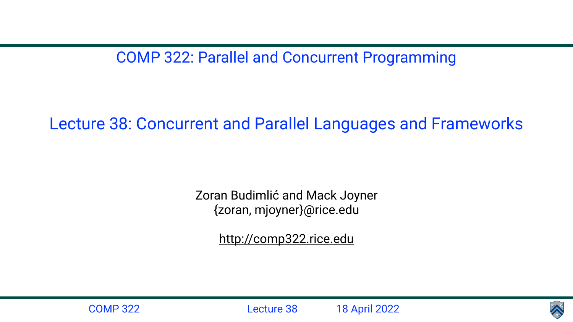COMP 322: Parallel and Concurrent Programming

Lecture 38: Concurrent and Parallel Languages and Frameworks

Zoran Budimlić and Mack Joyner {zoran, mjoyner}@rice.edu

<http://comp322.rice.edu>





COMP 322 Lecture 38 18 April 2022

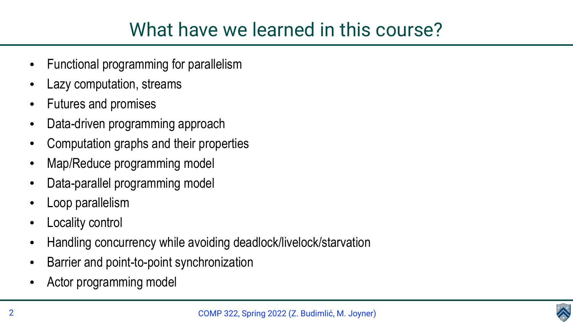

### What have we learned in this course?

- Functional programming for parallelism
- Lazy computation, streams
- Futures and promises
- Data-driven programming approach
- Computation graphs and their properties
- Map/Reduce programming model
- Data-parallel programming model
- Loop parallelism
- Locality control
- Handling concurrency while avoiding deadlock/livelock/starvation
- Barrier and point-to-point synchronization
- Actor programming model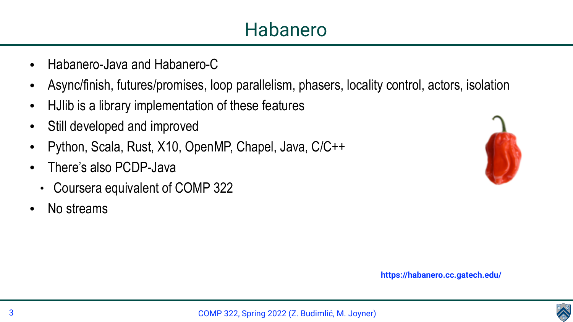



• Async/finish, futures/promises, loop parallelism, phasers, locality control, actors, isolation



- Habanero-Java and Habanero-C
- 
- HJlib is a library implementation of these features
- Still developed and improved
- Python, Scala, Rust, X10, OpenMP, Chapel, Java, C/C++
- There's also PCDP-Java
	- Coursera equivalent of COMP 322
- No streams

**https://habanero.cc.gatech.edu/**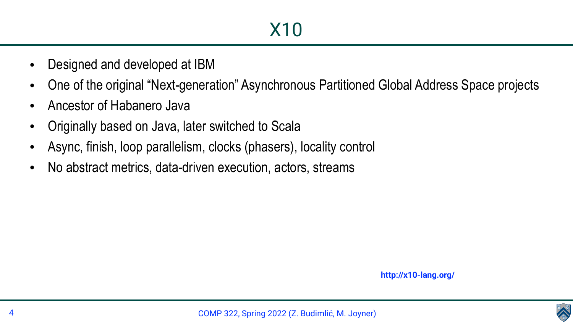

- Designed and developed at IBM
- 
- Ancestor of Habanero Java
- Originally based on Java, later switched to Scala
- Async, finish, loop parallelism, clocks (phasers), locality control
- No abstract metrics, data-driven execution, actors, streams

• One of the original "Next-generation" Asynchronous Partitioned Global Address Space projects

**http://x10-lang.org/**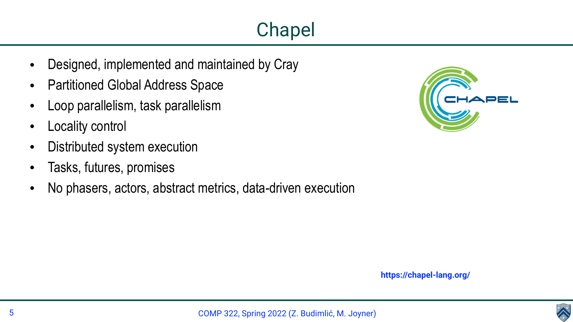

# Chapel



- Designed, implemented and maintained by Cray
- Partitioned Global Address Space
- Loop parallelism, task parallelism
- **Locality control**
- Distributed system execution
- Tasks, futures, promises
- No phasers, actors, abstract metrics, data-driven execution

**https://chapel-lang.org/**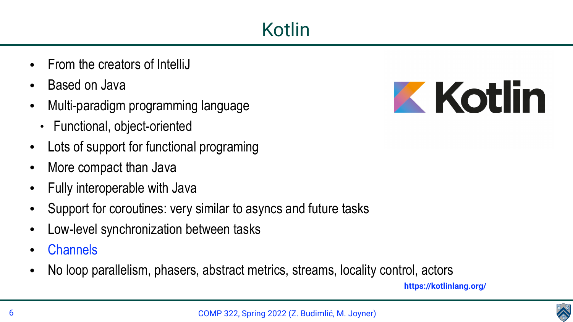



- From the creators of IntelliJ
- Based on Java
- Multi-paradigm programming language
	- Functional, object-oriented
- Lots of support for functional programing
- More compact than Java
- Fully interoperable with Java
- Support for coroutines: very similar to asyncs and future tasks
- Low-level synchronization between tasks
- **Channels**
- No loop parallelism, phasers, abstract metrics, streams, locality control, actors





**https://kotlinlang.org/**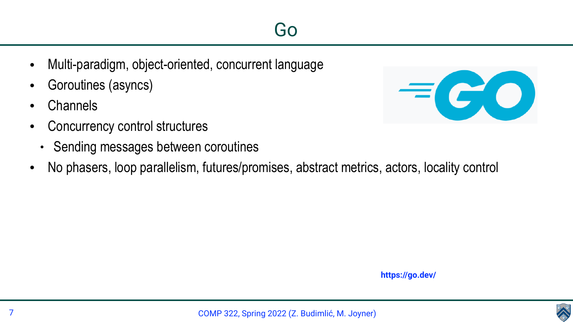



- Multi-paradigm, object-oriented, concurrent language
- Goroutines (asyncs)
- **Channels**
- Concurrency control structures
	- Sending messages between coroutines
- 

### • No phasers, loop parallelism, futures/promises, abstract metrics, actors, locality control

**https://go.dev/**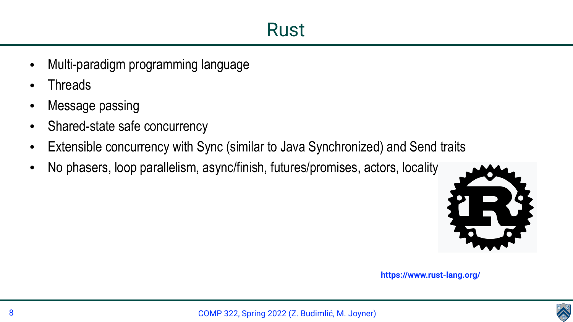

- Multi-paradigm programming language
- **Threads**
- Message passing
- Shared-state safe concurrency
- Extensible concurrency with Sync (similar to Java Synchronized) and Send traits
- No phasers, loop parallelism, async/finish, futures/promises, actors, locality



**https://www.rust-lang.org/**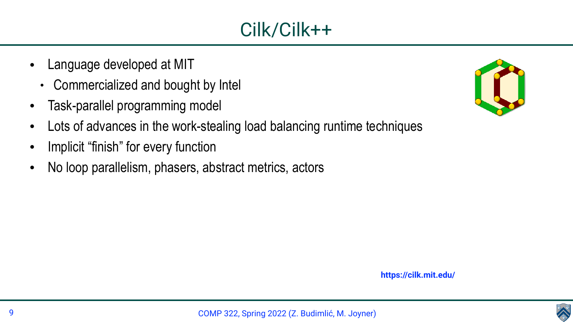





- Language developed at MIT
	- Commercialized and bought by Intel
- Task-parallel programming model
- Lots of advances in the work-stealing load balancing runtime techniques
- Implicit "finish" for every function
- No loop parallelism, phasers, abstract metrics, actors

**https://cilk.mit.edu/**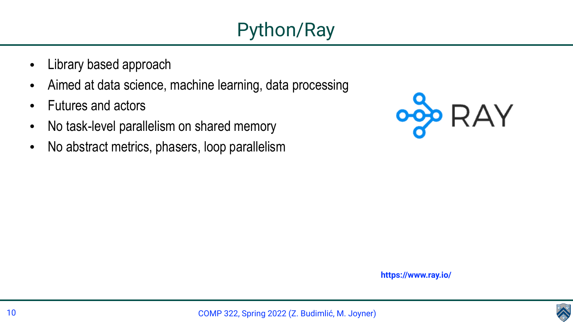





- Library based approach
- Aimed at data science, machine learning, data processing
- Futures and actors
- No task-level parallelism on shared memory
- No abstract metrics, phasers, loop parallelism

**https://www.ray.io/**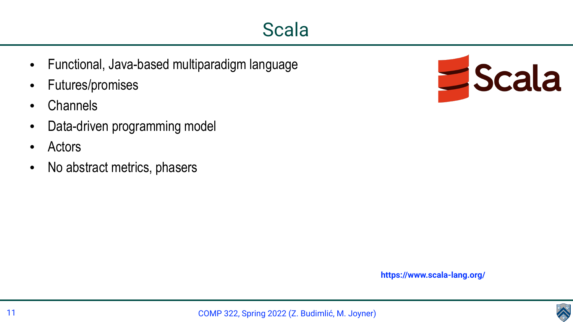





- Functional, Java-based multiparadigm language
- Futures/promises
- **Channels**
- Data-driven programming model
- **Actors**
- No abstract metrics, phasers

**https://www.scala-lang.org/**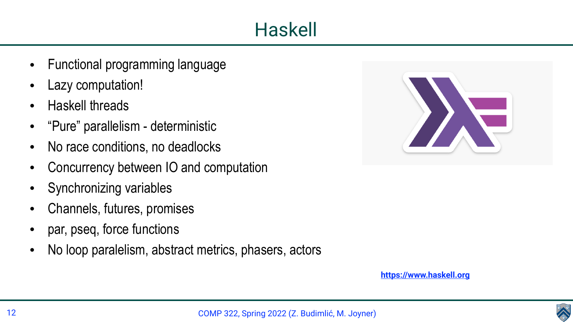

## Haskell



- Functional programming language
- Lazy computation!
- Haskell threads
- "Pure" parallelism deterministic
- No race conditions, no deadlocks
- Concurrency between IO and computation
- Synchronizing variables
- Channels, futures, promises
- par, pseq, force functions
- No loop paralelism, abstract metrics, phasers, actors

**<https://www.haskell.org>**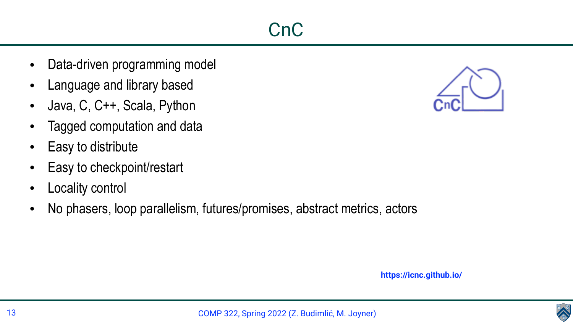



- Data-driven programming model
- Language and library based
- Java, C, C++, Scala, Python
- Tagged computation and data
- Easy to distribute
- Easy to checkpoint/restart
- Locality control
- No phasers, loop parallelism, futures/promises, abstract metrics, actors

**https://icnc.github.io/**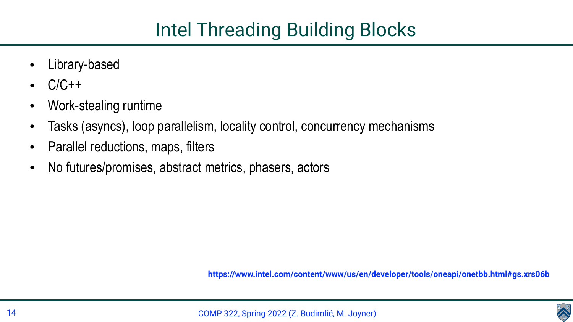



- Library-based
- $C/C++$
- Work-stealing runtime
- Tasks (asyncs), loop parallelism, locality control, concurrency mechanisms
- Parallel reductions, maps, filters
- No futures/promises, abstract metrics, phasers, actors

**https://www.intel.com/content/www/us/en/developer/tools/oneapi/onetbb.html#gs.xrs06b**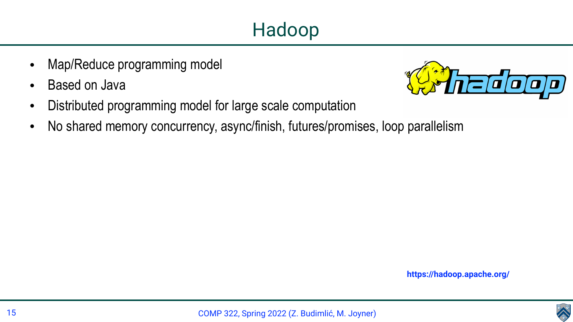





- Map/Reduce programming model
- Based on Java
- Distributed programming model for large scale computation
- No shared memory concurrency, async/finish, futures/promises, loop parallelism

**https://hadoop.apache.org/**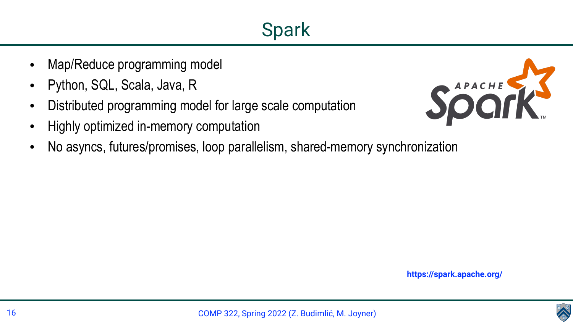





- Map/Reduce programming model
- Python, SQL, Scala, Java, R
- Distributed programming model for large scale computation
- Highly optimized in-memory computation
- No asyncs, futures/promises, loop parallelism, shared-memory synchronization

**https://spark.apache.org/**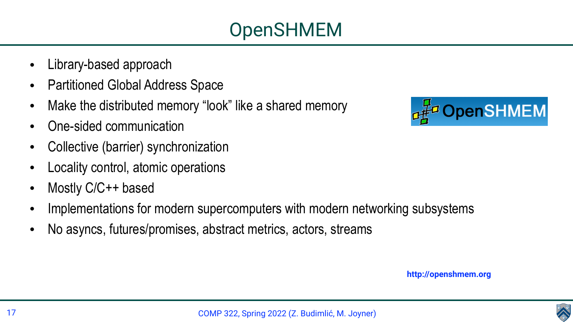

- Library-based approach
- Partitioned Global Address Space
- Make the distributed memory "look" like a shared memory
- One-sided communication
- Collective (barrier) synchronization
- Locality control, atomic operations
- Mostly C/C++ based
- Implementations for modern supercomputers with modern networking subsystems
- No asyncs, futures/promises, abstract metrics, actors, streams



**http://openshmem.org**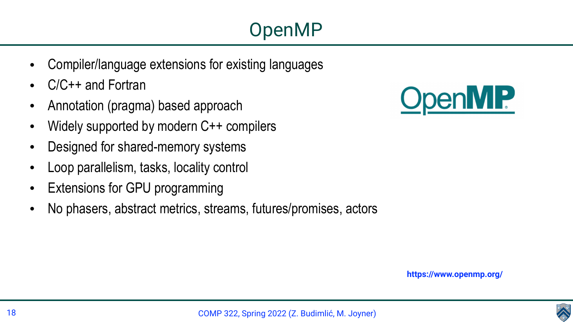





- Compiler/language extensions for existing languages
- C/C++ and Fortran
- Annotation (pragma) based approach
- Widely supported by modern C++ compilers
- Designed for shared-memory systems
- Loop parallelism, tasks, locality control
- Extensions for GPU programming
- No phasers, abstract metrics, streams, futures/promises, actors

**https://www.openmp.org/**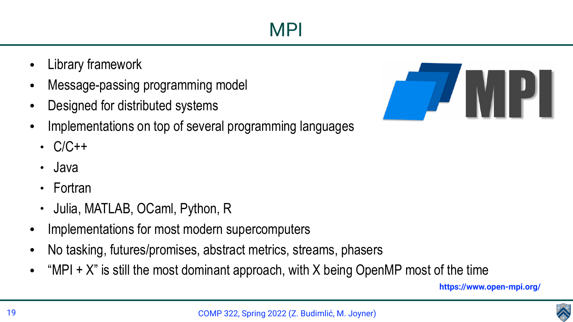



- Library framework
- Message-passing programming model
- Designed for distributed systems
- Implementations on top of several programming languages
	- $\cdot$   $C/C++$
	- Java
	- Fortran
	- Julia, MATLAB, OCaml, Python, R
- Implementations for most modern supercomputers
- No tasking, futures/promises, abstract metrics, streams, phasers
- "MPI + X" is still the most dominant approach, with X being OpenMP most of the time



MPI



**https://www.open-mpi.org/**